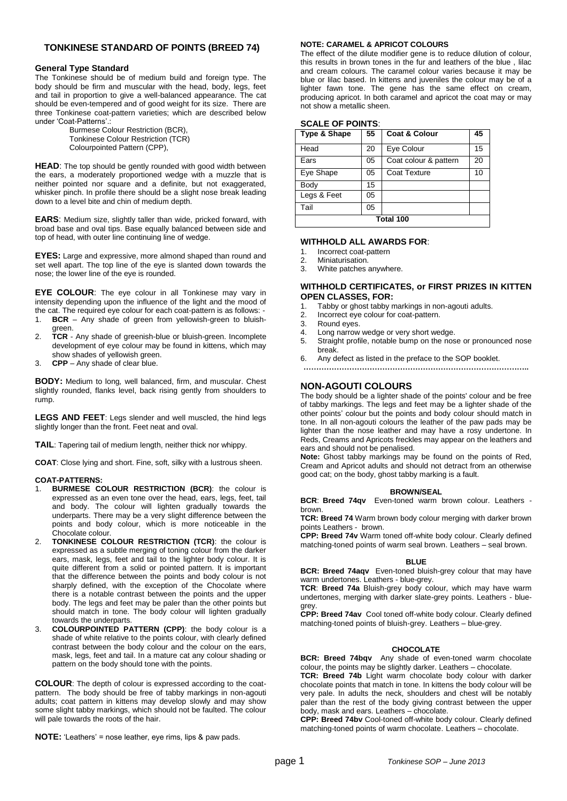# **TONKINESE STANDARD OF POINTS (BREED 74)**

## **General Type Standard**

The Tonkinese should be of medium build and foreign type. The body should be firm and muscular with the head, body, legs, feet and tail in proportion to give a well-balanced appearance. The cat should be even-tempered and of good weight for its size. There are three Tonkinese coat-pattern varieties; which are described below under 'Coat-Patterns'.:

Burmese Colour Restriction (BCR), Tonkinese Colour Restriction (TCR) Colourpointed Pattern (CPP),

**HEAD**: The top should be gently rounded with good width between the ears, a moderately proportioned wedge with a muzzle that is neither pointed nor square and a definite, but not exaggerated, whisker pinch. In profile there should be a slight nose break leading down to a level bite and chin of medium depth.

**EARS**: Medium size, slightly taller than wide, pricked forward, with broad base and oval tips. Base equally balanced between side and top of head, with outer line continuing line of wedge.

**EYES:** Large and expressive, more almond shaped than round and set well apart. The top line of the eye is slanted down towards the nose; the lower line of the eye is rounded.

**EYE COLOUR**: The eye colour in all Tonkinese may vary in intensity depending upon the influence of the light and the mood of the cat. The required eye colour for each coat-pattern is as follows: -

- 1. **BCR** Any shade of green from yellowish-green to bluishgreen.
- 2. **TCR** Any shade of greenish-blue or bluish-green. Incomplete development of eye colour may be found in kittens, which may show shades of yellowish green.
- 3. **CPP** Any shade of clear blue.

**BODY:** Medium to long*,* well balanced, firm, and muscular. Chest slightly rounded, flanks level, back rising gently from shoulders to rump.

**LEGS AND FEET**: Legs slender and well muscled, the hind legs slightly longer than the front. Feet neat and oval.

**TAIL**: Tapering tail of medium length, neither thick nor whippy.

**COAT**: Close lying and short. Fine, soft, silky with a lustrous sheen.

## **COAT-PATTERNS:**

- 1. **BURMESE COLOUR RESTRICTION (BCR)**: the colour is expressed as an even tone over the head, ears, legs, feet, tail and body. The colour will lighten gradually towards the underparts. There may be a very slight difference between the points and body colour, which is more noticeable in the Chocolate colour.
- 2. **TONKINESE COLOUR RESTRICTION (TCR)**: the colour is expressed as a subtle merging of toning colour from the darker ears, mask, legs, feet and tail to the lighter body colour. It is quite different from a solid or pointed pattern. It is important that the difference between the points and body colour is not sharply defined, with the exception of the Chocolate where there is a notable contrast between the points and the upper body. The legs and feet may be paler than the other points but should match in tone. The body colour will lighten gradually towards the underparts.
- 3. **COLOURPOINTED PATTERN (CPP)**: the body colour is a shade of white relative to the points colour, with clearly defined contrast between the body colour and the colour on the ears, mask, legs, feet and tail. In a mature cat any colour shading or pattern on the body should tone with the points.

**COLOUR**: The depth of colour is expressed according to the coatpattern. The body should be free of tabby markings in non-agouti adults; coat pattern in kittens may develop slowly and may show some slight tabby markings, which should not be faulted. The colour will pale towards the roots of the hair.

**NOTE: CARAMEL & APRICOT COLOURS** 

The effect of the dilute modifier gene is to reduce dilution of colour, this results in brown tones in the fur and leathers of the blue , lilac and cream colours. The caramel colour varies because it may be blue or lilac based. In kittens and juveniles the colour may be of a lighter fawn tone. The gene has the same effect on cream, producing apricot. In both caramel and apricot the coat may or may not show a metallic sheen.

| JUALE UF FUINTJ. |    |                          |    |
|------------------|----|--------------------------|----|
| Type & Shape     | 55 | <b>Coat &amp; Colour</b> | 45 |
| Head             | 20 | Eye Colour               | 15 |
| Ears             | 05 | Coat colour & pattern    | 20 |
| Eye Shape        | 05 | <b>Coat Texture</b>      | 10 |
| Body             | 15 |                          |    |
| Legs & Feet      | 05 |                          |    |
| Tail             | 05 |                          |    |
| Total 100        |    |                          |    |

# **SCALE OF POINTS**:

## **WITHHOLD ALL AWARDS FOR**:

- 1. Incorrect coat-pattern
- 2. Miniaturisation.
- 3. White patches anywhere.

# **WITHHOLD CERTIFICATES, or FIRST PRIZES IN KITTEN OPEN CLASSES, FOR:**

- 1. Tabby or ghost tabby markings in non-agouti adults.
- Incorrect eye colour for coat-pattern.
- 3. Round eyes.
- 4. Long narrow wedge or very short wedge.
- 5. Straight profile, notable bump on the nose or pronounced nose break.
- 6. Any defect as listed in the preface to the SOP booklet.
- **……………………………………………………………………………..**

# **NON-AGOUTI COLOURS**

The body should be a lighter shade of the points' colour and be free of tabby markings. The legs and feet may be a lighter shade of the other points' colour but the points and body colour should match in tone. In all non-agouti colours the leather of the paw pads may be lighter than the nose leather and may have a rosy undertone. In Reds, Creams and Apricots freckles may appear on the leathers and ears and should not be penalised.

**Note:** Ghost tabby markings may be found on the points of Red, Cream and Apricot adults and should not detract from an otherwise good cat; on the body, ghost tabby marking is a fault.

#### **BROWN/SEAL**

**BCR**: **Breed 74qv** Even-toned warm brown colour. Leathers brown.

**TCR: Breed 74** Warm brown body colour merging with darker brown points Leathers - brown.

**CPP: Breed 74v** Warm toned off-white body colour. Clearly defined matching-toned points of warm seal brown. Leathers – seal brown.

#### **BLUE**

**BCR: Breed 74aqv** Even-toned bluish-grey colour that may have warm undertones. Leathers - blue-grey.

**TCR**: **Breed 74a** Bluish-grey body colour, which may have warm undertones, merging with darker slate-grey points. Leathers - bluegrey.

**CPP: Breed 74av** Cool toned off-white body colour. Clearly defined matching-toned points of bluish-grey. Leathers – blue-grey.

## **CHOCOLATE**

**BCR: Breed 74bqv** Any shade of even-toned warm chocolate colour, the points may be slightly darker. Leathers – chocolate.

**TCR: Breed 74b** Light warm chocolate body colour with darker chocolate points that match in tone. In kittens the body colour will be very pale. In adults the neck, shoulders and chest will be notably paler than the rest of the body giving contrast between the upper body, mask and ears. Leathers – chocolate.

**CPP: Breed 74bv** Cool-toned off-white body colour. Clearly defined matching-toned points of warm chocolate. Leathers – chocolate.

**NOTE:** 'Leathers' = nose leather, eye rims, lips & paw pads.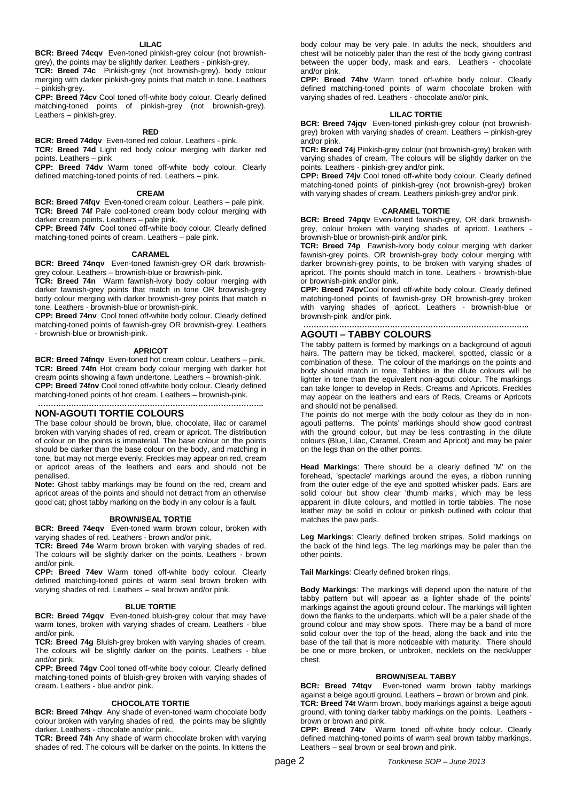**BCR: Breed 74cqv** Even-toned pinkish-grey colour (not brownishgrey), the points may be slightly darker. Leathers - pinkish-grey.

**TCR: Breed 74c** Pinkish-grey (not brownish-grey). body colour merging with darker pinkish-grey points that match in tone. Leathers – pinkish-grey.

**CPP: Breed 74cv** Cool toned off-white body colour. Clearly defined matching-toned points of pinkish-grey (not brownish-grey). Leathers – pinkish-grey.

## **RED**

**BCR: Breed 74dqv** Even-toned red colour. Leathers - pink. **TCR: Breed 74d** Light red body colour merging with darker red points. Leathers – pink

**CPP: Breed 74dv** Warm toned off-white body colour. Clearly defined matching-toned points of red. Leathers – pink.

#### **CREAM**

**BCR: Breed 74fqv** Even-toned cream colour. Leathers – pale pink. **TCR: Breed 74f** Pale cool-toned cream body colour merging with darker cream points. Leathers – pale pink.

**CPP: Breed 74fv** Cool toned off-white body colour. Clearly defined matching-toned points of cream. Leathers – pale pink.

# **CARAMEL**

**BCR: Breed 74nqv** Even-toned fawnish-grey OR dark brownishgrey colour. Leathers – brownish-blue or brownish-pink.

**TCR: Breed 74n** Warm fawnish-ivory body colour merging with darker fawnish-grey points that match in tone OR brownish-grey body colour merging with darker brownish-grey points that match in tone. Leathers - brownish-blue or brownish-pink.

**CPP: Breed 74nv** Cool toned off-white body colour. Clearly defined matching-toned points of fawnish-grey OR brownish-grey. Leathers - brownish-blue or brownish-pink.

#### **APRICOT**

**BCR: Breed 74fnqv** Even-toned hot cream colour. Leathers – pink. **TCR: Breed 74fn** Hot cream body colour merging with darker hot cream points showing a fawn undertone. Leathers – brownish-pink. **CPP: Breed 74fnv** Cool toned off-white body colour. Clearly defined matching-toned points of hot cream. Leathers – brownish-pink.

#### **…………………………………………………………………………….. NON-AGOUTI TORTIE COLOURS**

The base colour should be brown, blue, chocolate, lilac or caramel broken with varying shades of red, cream or apricot. The distribution of colour on the points is immaterial. The base colour on the points should be darker than the base colour on the body, and matching in tone, but may not merge evenly. Freckles may appear on red, cream or apricot areas of the leathers and ears and should not be penalised.

**Note:** Ghost tabby markings may be found on the red, cream and apricot areas of the points and should not detract from an otherwise good cat; ghost tabby marking on the body in any colour is a fault.

## **BROWN/SEAL TORTIE**

**BCR: Breed 74eqv** Even-toned warm brown colour, broken with varying shades of red. Leathers - brown and/or pink.

**TCR: Breed 74e** Warm brown broken with varying shades of red. The colours will be slightly darker on the points. Leathers - brown and/or pink.

**CPP: Breed 74ev** Warm toned off-white body colour. Clearly defined matching-toned points of warm seal brown broken with varying shades of red. Leathers – seal brown and/or pink.

## **BLUE TORTIE**

**BCR: Breed 74gqv** Even-toned bluish-grey colour that may have warm tones, broken with varying shades of cream. Leathers - blue and/or pink

**TCR: Breed 74g** Bluish-grey broken with varying shades of cream. The colours will be slightly darker on the points. Leathers - blue and/or pink.

**CPP: Breed 74gv** Cool toned off-white body colour. Clearly defined matching-toned points of bluish-grey broken with varying shades of cream. Leathers - blue and/or pink.

# **CHOCOLATE TORTIE**

**BCR: Breed 74hqv** Any shade of even-toned warm chocolate body colour broken with varying shades of red, the points may be slightly darker. Leathers - chocolate and/or pink..

**TCR: Breed 74h** Any shade of warm chocolate broken with varying shades of red. The colours will be darker on the points. In kittens the

body colour may be very pale. In adults the neck, shoulders and chest will be noticebly paler than the rest of the body giving contrast between the upper body, mask and ears. Leathers - chocolate and/or pink.

**CPP: Breed 74hv** Warm toned off-white body colour. Clearly defined matching-toned points of warm chocolate broken with varying shades of red. Leathers - chocolate and/or pink.

### **LILAC TORTIE**

**BCR: Breed 74jqv** Even-toned pinkish-grey colour (not brownishgrey) broken with varying shades of cream. Leathers – pinkish-grey and/or pink.

**TCR: Breed 74j** Pinkish-grey colour (not brownish-grey) broken with varying shades of cream. The colours will be slightly darker on the points. Leathers - pinkish-grey and/or pink.

**CPP: Breed 74jv** Cool toned off-white body colour. Clearly defined matching-toned points of pinkish-grey (not brownish-grey) broken with varying shades of cream. Leathers pinkish-grey and/or pink.

### **CARAMEL TORTIE**

**BCR: Breed 74pqv** Even-toned fawnish-grey, OR dark brownishgrey, colour broken with varying shades of apricot. Leathers brownish-blue or brownish-pink and/or pink.

**TCR: Breed 74p** Fawnish-ivory body colour merging with darker fawnish-grey points, OR brownish-grey body colour merging with darker brownish-grey points, to be broken with varying shades of apricot. The points should match in tone. Leathers - brownish-blue or brownish-pink and/or pink.

**CPP: Breed 74pv**Cool toned off-white body colour. Clearly defined matching-toned points of fawnish-grey OR brownish-grey broken with varying shades of apricot. Leathers - brownish-blue or brownish-pink and/or pink.

### **…………………………………………………………………………….. AGOUTI – TABBY COLOURS**

The tabby pattern is formed by markings on a background of agouti hairs. The pattern may be ticked, mackerel, spotted, classic or a combination of these*.* The colour of the markings on the points and body should match in tone. Tabbies in the dilute colours will be lighter in tone than the equivalent non-agouti colour. The markings can take longer to develop in Reds, Creams and Apricots. Freckles may appear on the leathers and ears of Reds, Creams or Apricots and should not be penalised.

The points do not merge with the body colour as they do in nonagouti patterns. The points' markings should show good contrast with the ground colour, but may be less contrasting in the dilute colours (Blue, Lilac, Caramel, Cream and Apricot) and may be paler on the legs than on the other points.

**Head Markings**: There should be a clearly defined 'M' on the forehead, 'spectacle' markings around the eyes, a ribbon running from the outer edge of the eye and spotted whisker pads. Ears are solid colour but show clear 'thumb marks', which may be less apparent in dilute colours, and mottled in tortie tabbies. The nose leather may be solid in colour or pinkish outlined with colour that matches the paw pads.

**Leg Markings**: Clearly defined broken stripes. Solid markings on the back of the hind legs. The leg markings may be paler than the other points.

**Tail Markings**: Clearly defined broken rings.

**Body Markings**: The markings will depend upon the nature of the tabby pattern but will appear as a lighter shade of the points' markings against the agouti ground colour. The markings will lighten down the flanks to the underparts, which will be a paler shade of the ground colour and may show spots. There may be a band of more solid colour over the top of the head, along the back and into the base of the tail that is more noticeable with maturity. There should be one or more broken, or unbroken, necklets on the neck/upper chest.

## **BROWN/SEAL TABBY**

**BCR: Breed 74tqv** Even-toned warm brown tabby markings against a beige agouti ground. Leathers – brown or brown and pink. **TCR: Breed 74t** Warm brown, body markings against a beige agouti ground, with toning darker tabby markings on the points. Leathers brown or brown and pink.

**CPP: Breed 74tv** Warm toned off-white body colour. Clearly defined matching-toned points of warm seal brown tabby markings. Leathers – seal brown or seal brown and pink.